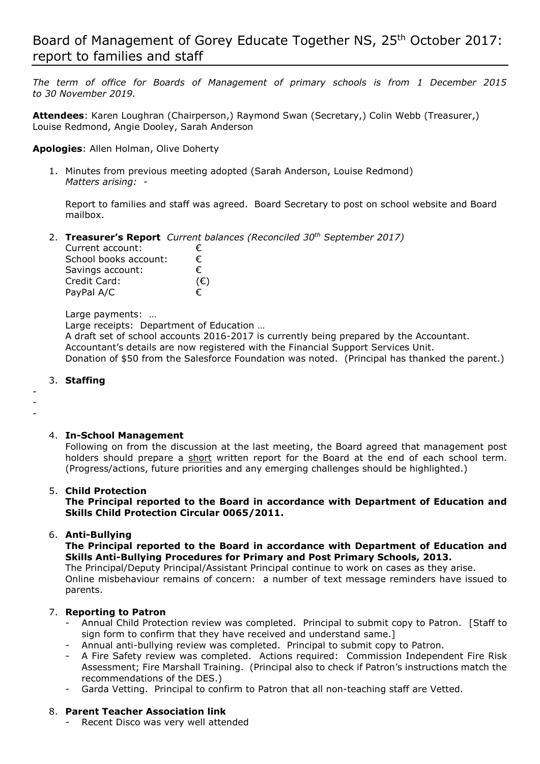*The term of office for Boards of Management of primary schools is from 1 December 2015 to 30 November 2019.*

**Attendees**: Karen Loughran (Chairperson,) Raymond Swan (Secretary,) Colin Webb (Treasurer,) Louise Redmond, Angie Dooley, Sarah Anderson

**Apologies**: Allen Holman, Olive Doherty

1. Minutes from previous meeting adopted (Sarah Anderson, Louise Redmond) *Matters arising:* -

Report to families and staff was agreed. Board Secretary to post on school website and Board mailbox.

2. **Treasurer's Report** *Current balances (Reconciled 30th September 2017)*

| Current account:      | €            |
|-----------------------|--------------|
| School books account: | €            |
| Savings account:      | €            |
| Credit Card:          | $(\epsilon)$ |
| PayPal A/C            | €            |

Large payments: …

Large receipts: Department of Education …

A draft set of school accounts 2016-2017 is currently being prepared by the Accountant. Accountant's details are now registered with the Financial Support Services Unit. Donation of \$50 from the Salesforce Foundation was noted. (Principal has thanked the parent.)

#### 3. **Staffing**

- - -

## 4. **In-School Management**

Following on from the discussion at the last meeting, the Board agreed that management post holders should prepare a short written report for the Board at the end of each school term. (Progress/actions, future priorities and any emerging challenges should be highlighted.)

## 5. **Child Protection**

**The Principal reported to the Board in accordance with Department of Education and Skills Child Protection Circular 0065/2011.**

## 6. **Anti-Bullying**

**The Principal reported to the Board in accordance with Department of Education and Skills Anti-Bullying Procedures for Primary and Post Primary Schools, 2013.** 

The Principal/Deputy Principal/Assistant Principal continue to work on cases as they arise. Online misbehaviour remains of concern: a number of text message reminders have issued to parents.

## 7. **Reporting to Patron**

- Annual Child Protection review was completed. Principal to submit copy to Patron. [Staff to sign form to confirm that they have received and understand same.]
- Annual anti-bullying review was completed. Principal to submit copy to Patron.
- A Fire Safety review was completed. Actions required: Commission Independent Fire Risk Assessment; Fire Marshall Training. (Principal also to check if Patron's instructions match the recommendations of the DES.)
- Garda Vetting. Principal to confirm to Patron that all non-teaching staff are Vetted.

#### 8. **Parent Teacher Association link**

- Recent Disco was very well attended